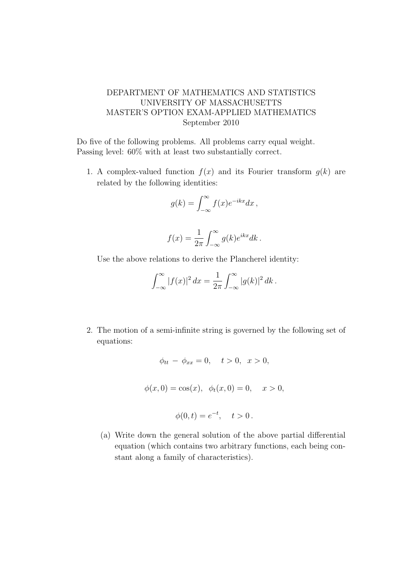## DEPARTMENT OF MATHEMATICS AND STATISTICS UNIVERSITY OF MASSACHUSETTS MASTER'S OPTION EXAM-APPLIED MATHEMATICS September 2010

Do five of the following problems. All problems carry equal weight. Passing level: 60% with at least two substantially correct.

1. A complex-valued function  $f(x)$  and its Fourier transform  $q(k)$  are related by the following identities:

$$
g(k) = \int_{-\infty}^{\infty} f(x)e^{-ikx}dx,
$$

$$
f(x) = \frac{1}{2\pi} \int_{-\infty}^{\infty} g(k)e^{ikx} dk.
$$

Use the above relations to derive the Plancherel identity:

$$
\int_{-\infty}^{\infty} |f(x)|^2 dx = \frac{1}{2\pi} \int_{-\infty}^{\infty} |g(k)|^2 dk.
$$

2. The motion of a semi-infinite string is governed by the following set of equations:

$$
\phi_{tt} - \phi_{xx} = 0, \quad t > 0, \quad x > 0,
$$
  
 $\phi(x, 0) = \cos(x), \quad \phi_t(x, 0) = 0, \quad x > 0,$   
 $\phi(0, t) = e^{-t}, \quad t > 0.$ 

(a) Write down the general solution of the above partial differential equation (which contains two arbitrary functions, each being constant along a family of characteristics).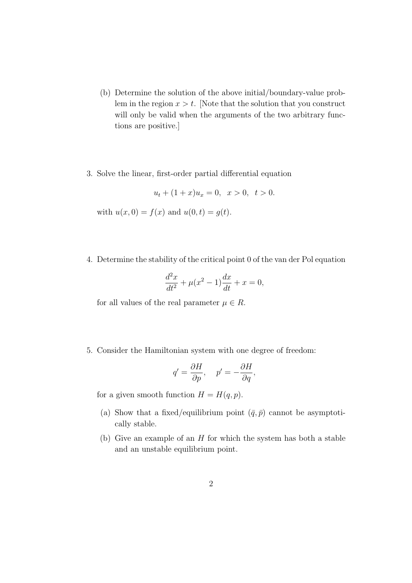- (b) Determine the solution of the above initial/boundary-value problem in the region  $x > t$ . Note that the solution that you construct will only be valid when the arguments of the two arbitrary functions are positive.]
- 3. Solve the linear, first-order partial differential equation

$$
u_t + (1+x)u_x = 0, \quad x > 0, \quad t > 0.
$$

with  $u(x, 0) = f(x)$  and  $u(0, t) = g(t)$ .

4. Determine the stability of the critical point 0 of the van der Pol equation

$$
\frac{d^2x}{dt^2} + \mu(x^2 - 1)\frac{dx}{dt} + x = 0,
$$

for all values of the real parameter  $\mu \in R$ .

5. Consider the Hamiltonian system with one degree of freedom:

$$
q' = \frac{\partial H}{\partial p}, \quad p' = -\frac{\partial H}{\partial q},
$$

for a given smooth function  $H = H(q, p)$ .

- (a) Show that a fixed/equilibrium point  $(\bar{q}, \bar{p})$  cannot be asymptotically stable.
- (b) Give an example of an  $H$  for which the system has both a stable and an unstable equilibrium point.